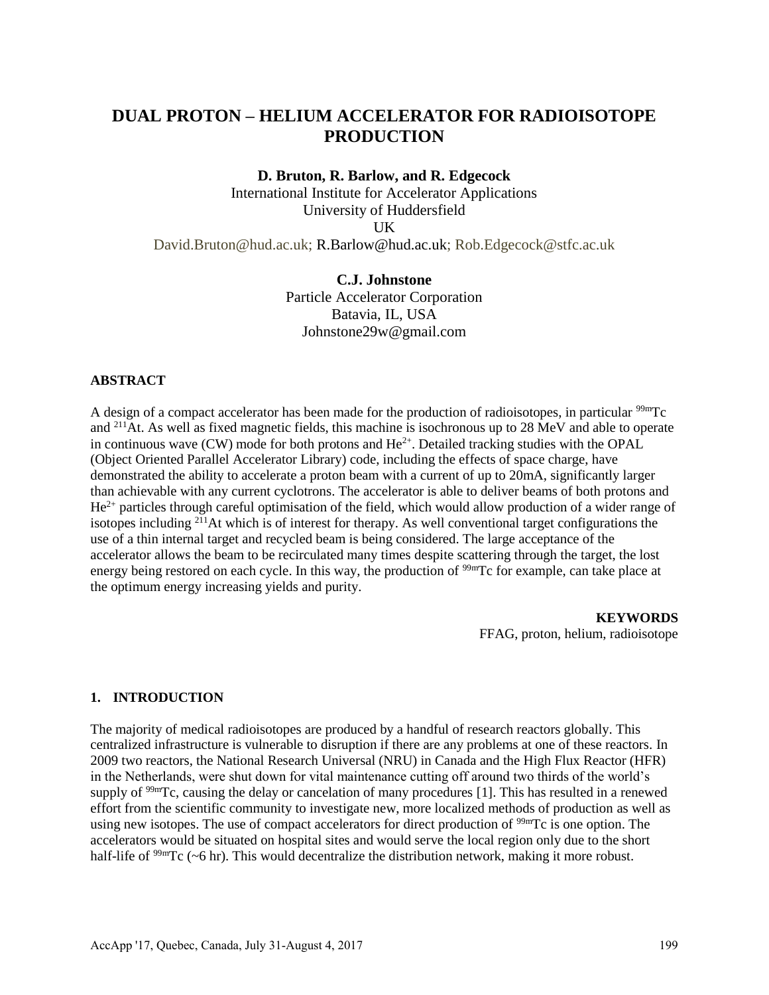# **DUAL PROTON – HELIUM ACCELERATOR FOR RADIOISOTOPE PRODUCTION**

#### **D. Bruton, R. Barlow, and R. Edgecock**

International Institute for Accelerator Applications University of Huddersfield UK David.Bruton@hud.ac.uk; R.Barlow@hud.ac.uk; Rob.Edgecock@stfc.ac.uk

# **C.J. Johnstone**

Particle Accelerator Corporation Batavia, IL, USA Johnstone29w@gmail.com

## **ABSTRACT**

A design of a compact accelerator has been made for the production of radioisotopes, in particular <sup>99m</sup>Tc and <sup>211</sup>At. As well as fixed magnetic fields, this machine is isochronous up to 28 MeV and able to operate in continuous wave  $(CW)$  mode for both protons and  $He^{2+}$ . Detailed tracking studies with the OPAL (Object Oriented Parallel Accelerator Library) code, including the effects of space charge, have demonstrated the ability to accelerate a proton beam with a current of up to 20mA, significantly larger than achievable with any current cyclotrons. The accelerator is able to deliver beams of both protons and  $He^{2+}$  particles through careful optimisation of the field, which would allow production of a wider range of isotopes including  $2^{11}$ At which is of interest for therapy. As well conventional target configurations the use of a thin internal target and recycled beam is being considered. The large acceptance of the accelerator allows the beam to be recirculated many times despite scattering through the target, the lost energy being restored on each cycle. In this way, the production of <sup>99m</sup>Tc for example, can take place at the optimum energy increasing yields and purity.

> **KEYWORDS** FFAG, proton, helium, radioisotope

## **1. INTRODUCTION**

The majority of medical radioisotopes are produced by a handful of research reactors globally. This centralized infrastructure is vulnerable to disruption if there are any problems at one of these reactors. In 2009 two reactors, the National Research Universal (NRU) in Canada and the High Flux Reactor (HFR) in the Netherlands, were shut down for vital maintenance cutting off around two thirds of the world's supply of <sup>99m</sup>Tc, causing the delay or cancelation of many procedures [1]. This has resulted in a renewed effort from the scientific community to investigate new, more localized methods of production as well as using new isotopes. The use of compact accelerators for direct production of <sup>99m</sup>Tc is one option. The accelerators would be situated on hospital sites and would serve the local region only due to the short half-life of <sup>99m</sup>Tc (~6 hr). This would decentralize the distribution network, making it more robust.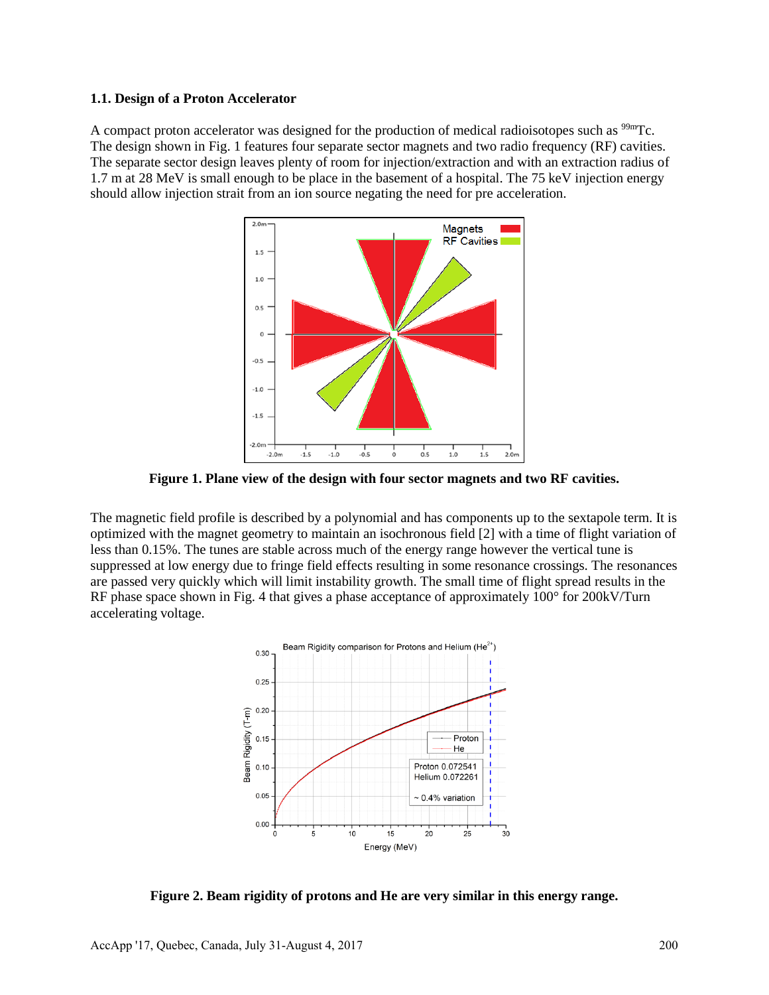#### **1.1. Design of a Proton Accelerator**

A compact proton accelerator was designed for the production of medical radioisotopes such as <sup>99m</sup>Tc. The design shown in Fig. 1 features four separate sector magnets and two radio frequency (RF) cavities. The separate sector design leaves plenty of room for injection/extraction and with an extraction radius of 1.7 m at 28 MeV is small enough to be place in the basement of a hospital. The 75 keV injection energy should allow injection strait from an ion source negating the need for pre acceleration.



**Figure 1. Plane view of the design with four sector magnets and two RF cavities.**

The magnetic field profile is described by a polynomial and has components up to the sextapole term. It is optimized with the magnet geometry to maintain an isochronous field [2] with a time of flight variation of less than 0.15%. The tunes are stable across much of the energy range however the vertical tune is suppressed at low energy due to fringe field effects resulting in some resonance crossings. The resonances are passed very quickly which will limit instability growth. The small time of flight spread results in the RF phase space shown in Fig. 4 that gives a phase acceptance of approximately 100° for 200kV/Turn accelerating voltage.



**Figure 2. Beam rigidity of protons and He are very similar in this energy range.**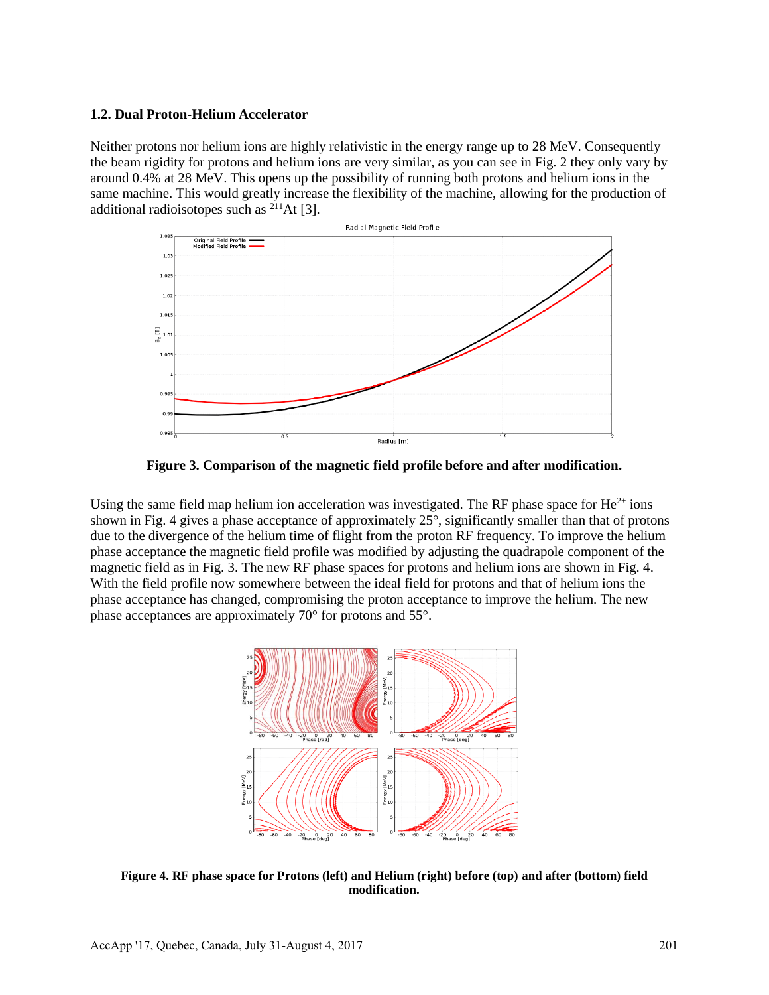### **1.2. Dual Proton-Helium Accelerator**

Neither protons nor helium ions are highly relativistic in the energy range up to 28 MeV. Consequently the beam rigidity for protons and helium ions are very similar, as you can see in Fig. 2 they only vary by around 0.4% at 28 MeV. This opens up the possibility of running both protons and helium ions in the same machine. This would greatly increase the flexibility of the machine, allowing for the production of additional radioisotopes such as <sup>211</sup>At [3].



**Figure 3. Comparison of the magnetic field profile before and after modification.**

Using the same field map helium ion acceleration was investigated. The RF phase space for  $He^{2+}$  ions shown in Fig. 4 gives a phase acceptance of approximately 25°, significantly smaller than that of protons due to the divergence of the helium time of flight from the proton RF frequency. To improve the helium phase acceptance the magnetic field profile was modified by adjusting the quadrapole component of the magnetic field as in Fig. 3. The new RF phase spaces for protons and helium ions are shown in Fig. 4. With the field profile now somewhere between the ideal field for protons and that of helium ions the phase acceptance has changed, compromising the proton acceptance to improve the helium. The new phase acceptances are approximately 70° for protons and 55°.



**Figure 4. RF phase space for Protons (left) and Helium (right) before (top) and after (bottom) field modification.**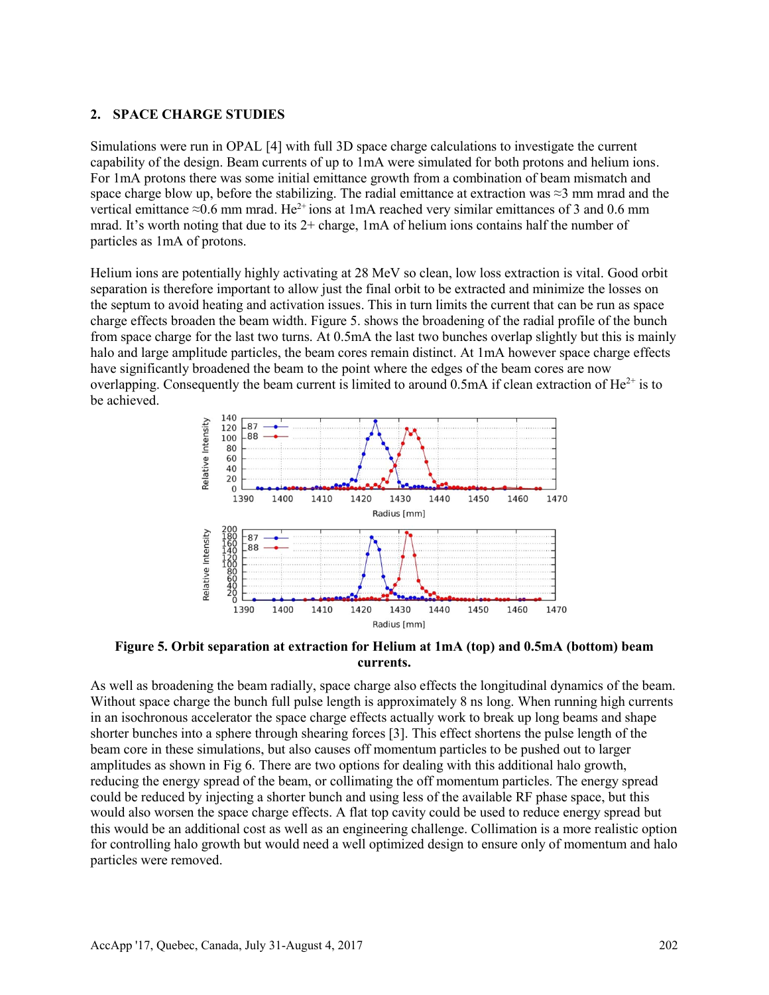## **2. SPACE CHARGE STUDIES**

Simulations were run in OPAL [4] with full 3D space charge calculations to investigate the current capability of the design. Beam currents of up to 1mA were simulated for both protons and helium ions. For 1mA protons there was some initial emittance growth from a combination of beam mismatch and space charge blow up, before the stabilizing. The radial emittance at extraction was  $\approx$ 3 mm mrad and the vertical emittance ≈0.6 mm mrad. He<sup>2+</sup> ions at 1mA reached very similar emittances of 3 and 0.6 mm mrad. It's worth noting that due to its 2+ charge, 1mA of helium ions contains half the number of particles as 1mA of protons.

Helium ions are potentially highly activating at 28 MeV so clean, low loss extraction is vital. Good orbit separation is therefore important to allow just the final orbit to be extracted and minimize the losses on the septum to avoid heating and activation issues. This in turn limits the current that can be run as space charge effects broaden the beam width. Figure 5. shows the broadening of the radial profile of the bunch from space charge for the last two turns. At 0.5mA the last two bunches overlap slightly but this is mainly halo and large amplitude particles, the beam cores remain distinct. At 1mA however space charge effects have significantly broadened the beam to the point where the edges of the beam cores are now overlapping. Consequently the beam current is limited to around 0.5mA if clean extraction of  $He^{2+}$  is to be achieved.



**Figure 5. Orbit separation at extraction for Helium at 1mA (top) and 0.5mA (bottom) beam currents.**

As well as broadening the beam radially, space charge also effects the longitudinal dynamics of the beam. Without space charge the bunch full pulse length is approximately 8 ns long. When running high currents in an isochronous accelerator the space charge effects actually work to break up long beams and shape shorter bunches into a sphere through shearing forces [3]. This effect shortens the pulse length of the beam core in these simulations, but also causes off momentum particles to be pushed out to larger amplitudes as shown in Fig 6. There are two options for dealing with this additional halo growth, reducing the energy spread of the beam, or collimating the off momentum particles. The energy spread could be reduced by injecting a shorter bunch and using less of the available RF phase space, but this would also worsen the space charge effects. A flat top cavity could be used to reduce energy spread but this would be an additional cost as well as an engineering challenge. Collimation is a more realistic option for controlling halo growth but would need a well optimized design to ensure only of momentum and halo particles were removed.